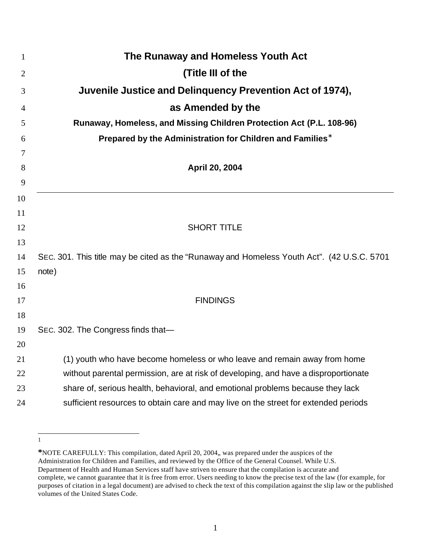| $\mathbf{1}$   | The Runaway and Homeless Youth Act                                                         |
|----------------|--------------------------------------------------------------------------------------------|
| $\overline{2}$ | (Title III of the                                                                          |
| 3              | Juvenile Justice and Delinquency Prevention Act of 1974),                                  |
| 4              | as Amended by the                                                                          |
| 5              | Runaway, Homeless, and Missing Children Protection Act (P.L. 108-96)                       |
| 6              | Prepared by the Administration for Children and Families*                                  |
| 7              |                                                                                            |
| 8              | April 20, 2004                                                                             |
| 9              |                                                                                            |
| 10             |                                                                                            |
| 11             |                                                                                            |
| 12<br>13       | <b>SHORT TITLE</b>                                                                         |
| 14             | SEC. 301. This title may be cited as the "Runaway and Homeless Youth Act". (42 U.S.C. 5701 |
| 15             | note)                                                                                      |
| 16             |                                                                                            |
| 17             | <b>FINDINGS</b>                                                                            |
| 18             |                                                                                            |
| 19             | SEC. 302. The Congress finds that-                                                         |
| 20             |                                                                                            |
| 21             | (1) youth who have become homeless or who leave and remain away from home                  |
| 22             | without parental permission, are at risk of developing, and have a disproportionate        |
| 23             | share of, serious health, behavioral, and emotional problems because they lack             |
| 24             | sufficient resources to obtain care and may live on the street for extended periods        |

 $\overline{a}$ 

**<sup>\*</sup>**NOTE CAREFULLY: This compilation, dated April 20, 2004,, was prepared under the auspices of the Administration for Children and Families, and reviewed by the Office of the General Counsel. While U.S. Department of Health and Human Services staff have striven to ensure that the compilation is accurate and complete, we cannot guarantee that it is free from error. Users needing to know the precise text of the law (for example, for purposes of citation in a legal document) are advised to check the text of this compilation against the slip law or the published volumes of the United States Code.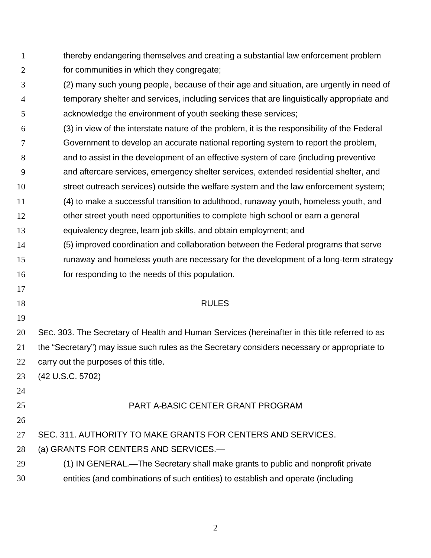- 1 2 thereby endangering themselves and creating a substantial law enforcement problem for communities in which they congregate;
- 3 4 5 (2) many such young people, because of their age and situation, are urgently in need of temporary shelter and services, including services that are linguistically appropriate and acknowledge the environment of youth seeking these services;
- 6 (3) in view of the interstate nature of the problem, it is the responsibility of the Federal
- 7 Government to develop an accurate national reporting system to report the problem,
- 8 and to assist in the development of an effective system of care (including preventive
- 9 and aftercare services, emergency shelter services, extended residential shelter, and
- 10 street outreach services) outside the welfare system and the law enforcement system;
- 11 (4) to make a successful transition to adulthood, runaway youth, homeless youth, and
- 12 other street youth need opportunities to complete high school or earn a general
- 13 equivalency degree, learn job skills, and obtain employment; and
- 14 (5) improved coordination and collaboration between the Federal programs that serve
- 15 runaway and homeless youth are necessary for the development of a long-term strategy
- 16 for responding to the needs of this population.
- 17
- 18

## RULES

- 20 21 22 SEC. 303. The Secretary of Health and Human Services (hereinafter in this title referred to as the "Secretary") may issue such rules as the Secretary considers necessary or appropriate to carry out the purposes of this title.
- 23 (42 U.S.C. 5702)
- 24
- 25 PART A-BASIC CENTER GRANT PROGRAM
- 26

27

## SEC. 311. AUTHORITY TO MAKE GRANTS FOR CENTERS AND SERVICES.

- 28 (a) GRANTS FOR CENTERS AND SERVICES.—
- 29 30 (1) IN GENERAL.—The Secretary shall make grants to public and nonprofit private entities (and combinations of such entities) to establish and operate (including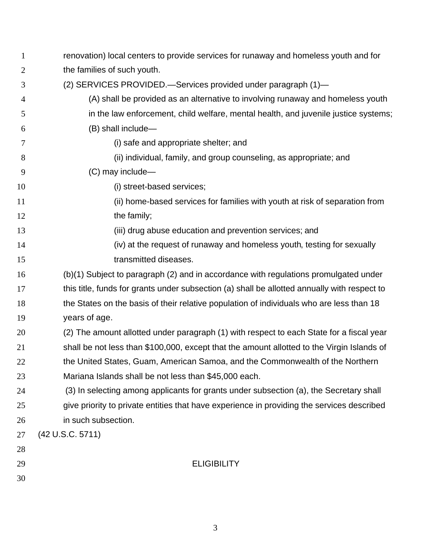| $\mathbf{1}$ | renovation) local centers to provide services for runaway and homeless youth and for         |
|--------------|----------------------------------------------------------------------------------------------|
| 2            | the families of such youth.                                                                  |
| 3            | (2) SERVICES PROVIDED.-Services provided under paragraph (1)-                                |
| 4            | (A) shall be provided as an alternative to involving runaway and homeless youth              |
| 5            | in the law enforcement, child welfare, mental health, and juvenile justice systems;          |
| 6            | (B) shall include-                                                                           |
| 7            | (i) safe and appropriate shelter; and                                                        |
| 8            | (ii) individual, family, and group counseling, as appropriate; and                           |
| 9            | (C) may include-                                                                             |
| 10           | (i) street-based services;                                                                   |
| 11           | (ii) home-based services for families with youth at risk of separation from                  |
| 12           | the family;                                                                                  |
| 13           | (iii) drug abuse education and prevention services; and                                      |
| 14           | (iv) at the request of runaway and homeless youth, testing for sexually                      |
| 15           | transmitted diseases.                                                                        |
| 16           | (b)(1) Subject to paragraph (2) and in accordance with regulations promulgated under         |
| 17           | this title, funds for grants under subsection (a) shall be allotted annually with respect to |
| 18           | the States on the basis of their relative population of individuals who are less than 18     |
| 19           | years of age.                                                                                |
| 20           | (2) The amount allotted under paragraph (1) with respect to each State for a fiscal year     |
| 21           | shall be not less than \$100,000, except that the amount allotted to the Virgin Islands of   |
| 22           | the United States, Guam, American Samoa, and the Commonwealth of the Northern                |
| 23           | Mariana Islands shall be not less than \$45,000 each.                                        |
| 24           | (3) In selecting among applicants for grants under subsection (a), the Secretary shall       |
| 25           | give priority to private entities that have experience in providing the services described   |
| 26           | in such subsection.                                                                          |
| 27           | (42 U.S.C. 5711)                                                                             |
| 28           |                                                                                              |
| 29           | <b>ELIGIBILITY</b>                                                                           |
| 30           |                                                                                              |
|              |                                                                                              |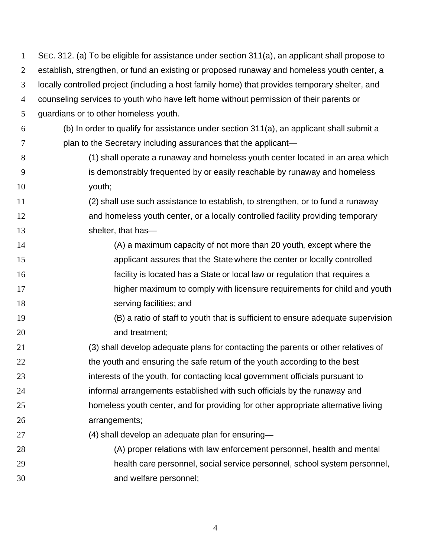| $\mathbf{1}$ | SEC. 312. (a) To be eligible for assistance under section 311(a), an applicant shall propose to |
|--------------|-------------------------------------------------------------------------------------------------|
| 2            | establish, strengthen, or fund an existing or proposed runaway and homeless youth center, a     |
| 3            | locally controlled project (including a host family home) that provides temporary shelter, and  |
| 4            | counseling services to youth who have left home without permission of their parents or          |
| 5            | guardians or to other homeless youth.                                                           |
| 6            | (b) In order to qualify for assistance under section 311(a), an applicant shall submit a        |
| 7            | plan to the Secretary including assurances that the applicant-                                  |
| 8            | (1) shall operate a runaway and homeless youth center located in an area which                  |
| 9            | is demonstrably frequented by or easily reachable by runaway and homeless                       |
| 10           | youth;                                                                                          |
| 11           | (2) shall use such assistance to establish, to strengthen, or to fund a runaway                 |
| 12           | and homeless youth center, or a locally controlled facility providing temporary                 |
| 13           | shelter, that has-                                                                              |
| 14           | (A) a maximum capacity of not more than 20 youth, except where the                              |
| 15           | applicant assures that the State where the center or locally controlled                         |
| 16           | facility is located has a State or local law or regulation that requires a                      |
| 17           | higher maximum to comply with licensure requirements for child and youth                        |
| 18           | serving facilities; and                                                                         |
| 19           | (B) a ratio of staff to youth that is sufficient to ensure adequate supervision                 |
| 20           | and treatment;                                                                                  |
| 21           | (3) shall develop adequate plans for contacting the parents or other relatives of               |
| 22           | the youth and ensuring the safe return of the youth according to the best                       |
| 23           | interests of the youth, for contacting local government officials pursuant to                   |
| 24           | informal arrangements established with such officials by the runaway and                        |
| 25           | homeless youth center, and for providing for other appropriate alternative living               |
| 26           | arrangements;                                                                                   |
| 27           | (4) shall develop an adequate plan for ensuring-                                                |
| 28           | (A) proper relations with law enforcement personnel, health and mental                          |
| 29           | health care personnel, social service personnel, school system personnel,                       |
| 30           | and welfare personnel;                                                                          |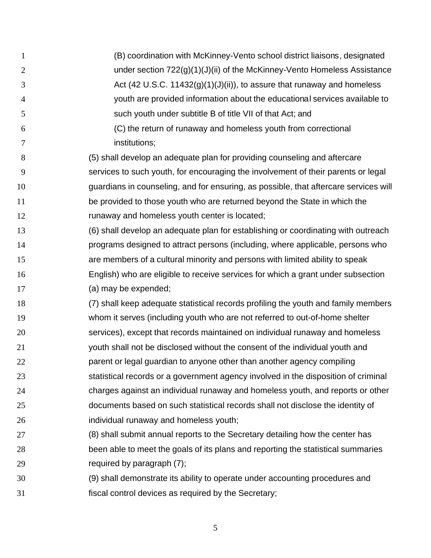- 1 2 3 4 5 6 7 8 9 10 11 12 13 14 15 16 17 18 19 20 21 22 23 24 25 26 27 28 29 30 31 (B) coordination with McKinney-Vento school district liaisons, designated under section 722(g)(1)(J)(ii) of the McKinney-Vento Homeless Assistance Act (42 U.S.C. 11432 $(g)(1)(J)(ii)$ ), to assure that runaway and homeless youth are provided information about the educational services available to such youth under subtitle B of title VII of that Act; and (C) the return of runaway and homeless youth from correctional institutions; (5) shall develop an adequate plan for providing counseling and aftercare services to such youth, for encouraging the involvement of their parents or legal guardians in counseling, and for ensuring, as possible, that aftercare services will be provided to those youth who are returned beyond the State in which the runaway and homeless youth center is located; (6) shall develop an adequate plan for establishing or coordinating with outreach programs designed to attract persons (including, where applicable, persons who are members of a cultural minority and persons with limited ability to speak English) who are eligible to receive services for which a grant under subsection (a) may be expended; (7) shall keep adequate statistical records profiling the youth and family members whom it serves (including youth who are not referred to out-of-home shelter services), except that records maintained on individual runaway and homeless youth shall not be disclosed without the consent of the individual youth and parent or legal guardian to anyone other than another agency compiling statistical records or a government agency involved in the disposition of criminal charges against an individual runaway and homeless youth, and reports or other documents based on such statistical records shall not disclose the identity of individual runaway and homeless youth; (8) shall submit annual reports to the Secretary detailing how the center has been able to meet the goals of its plans and reporting the statistical summaries required by paragraph (7); (9) shall demonstrate its ability to operate under accounting procedures and fiscal control devices as required by the Secretary;
	- 5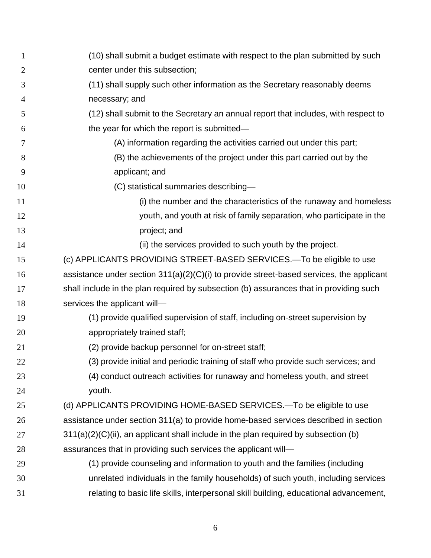| $\mathbf{1}$   | (10) shall submit a budget estimate with respect to the plan submitted by such             |
|----------------|--------------------------------------------------------------------------------------------|
| $\overline{2}$ | center under this subsection;                                                              |
| 3              | (11) shall supply such other information as the Secretary reasonably deems                 |
| 4              | necessary; and                                                                             |
| 5              | (12) shall submit to the Secretary an annual report that includes, with respect to         |
| 6              | the year for which the report is submitted-                                                |
| 7              | (A) information regarding the activities carried out under this part;                      |
| 8              | (B) the achievements of the project under this part carried out by the                     |
| 9              | applicant; and                                                                             |
| 10             | (C) statistical summaries describing-                                                      |
| 11             | (i) the number and the characteristics of the runaway and homeless                         |
| 12             | youth, and youth at risk of family separation, who participate in the                      |
| 13             | project; and                                                                               |
| 14             | (ii) the services provided to such youth by the project.                                   |
| 15             | (c) APPLICANTS PROVIDING STREET-BASED SERVICES.-To be eligible to use                      |
| 16             | assistance under section $311(a)(2)(C)(i)$ to provide street-based services, the applicant |
| 17             | shall include in the plan required by subsection (b) assurances that in providing such     |
| 18             | services the applicant will-                                                               |
| 19             | (1) provide qualified supervision of staff, including on-street supervision by             |
| 20             | appropriately trained staff;                                                               |
| 21             | (2) provide backup personnel for on-street staff;                                          |
| 22             | (3) provide initial and periodic training of staff who provide such services; and          |
| 23             | (4) conduct outreach activities for runaway and homeless youth, and street                 |
| 24             | youth.                                                                                     |
| 25             | (d) APPLICANTS PROVIDING HOME-BASED SERVICES.—To be eligible to use                        |
| 26             | assistance under section 311(a) to provide home-based services described in section        |
| 27             | $311(a)(2)(C)(ii)$ , an applicant shall include in the plan required by subsection (b)     |
| 28             | assurances that in providing such services the applicant will-                             |
| 29             | (1) provide counseling and information to youth and the families (including                |
| 30             | unrelated individuals in the family households) of such youth, including services          |
| 31             | relating to basic life skills, interpersonal skill building, educational advancement,      |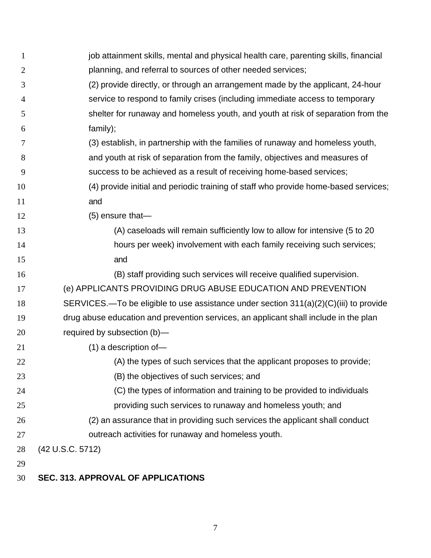| $\mathbf{1}$   | job attainment skills, mental and physical health care, parenting skills, financial   |
|----------------|---------------------------------------------------------------------------------------|
| $\overline{2}$ | planning, and referral to sources of other needed services;                           |
| 3              | (2) provide directly, or through an arrangement made by the applicant, 24-hour        |
| 4              | service to respond to family crises (including immediate access to temporary          |
| 5              | shelter for runaway and homeless youth, and youth at risk of separation from the      |
| 6              | family);                                                                              |
| 7              | (3) establish, in partnership with the families of runaway and homeless youth,        |
| 8              | and youth at risk of separation from the family, objectives and measures of           |
| 9              | success to be achieved as a result of receiving home-based services;                  |
| 10             | (4) provide initial and periodic training of staff who provide home-based services;   |
| 11             | and                                                                                   |
| 12             | $(5)$ ensure that-                                                                    |
| 13             | (A) caseloads will remain sufficiently low to allow for intensive (5 to 20            |
| 14             | hours per week) involvement with each family receiving such services;                 |
| 15             | and                                                                                   |
| 16             | (B) staff providing such services will receive qualified supervision.                 |
| 17             | (e) APPLICANTS PROVIDING DRUG ABUSE EDUCATION AND PREVENTION                          |
| 18             | SERVICES.-To be eligible to use assistance under section 311(a)(2)(C)(iii) to provide |
| 19             | drug abuse education and prevention services, an applicant shall include in the plan  |
| 20             | required by subsection (b)-                                                           |
| 21             | $(1)$ a description of-                                                               |
| 22             | (A) the types of such services that the applicant proposes to provide;                |
| 23             | (B) the objectives of such services; and                                              |
| 24             | (C) the types of information and training to be provided to individuals               |
| 25             | providing such services to runaway and homeless youth; and                            |
| 26             | (2) an assurance that in providing such services the applicant shall conduct          |
| 27             | outreach activities for runaway and homeless youth.                                   |
| 28             | (42 U.S.C. 5712)                                                                      |
| 29             |                                                                                       |
| 30             | <b>SEC. 313. APPROVAL OF APPLICATIONS</b>                                             |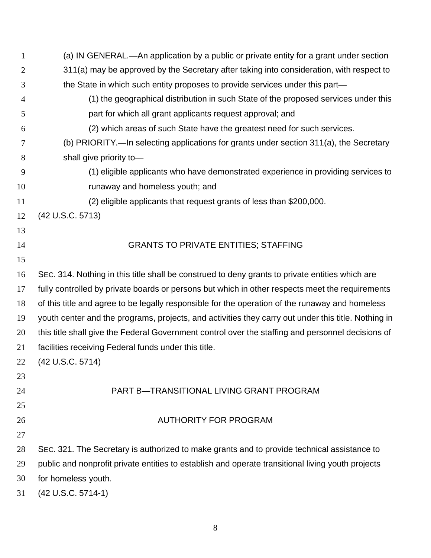| $\mathbf{1}$   | (a) IN GENERAL.—An application by a public or private entity for a grant under section              |
|----------------|-----------------------------------------------------------------------------------------------------|
| 2              | 311(a) may be approved by the Secretary after taking into consideration, with respect to            |
| 3              | the State in which such entity proposes to provide services under this part—                        |
| $\overline{4}$ | (1) the geographical distribution in such State of the proposed services under this                 |
| 5              | part for which all grant applicants request approval; and                                           |
| 6              | (2) which areas of such State have the greatest need for such services.                             |
| 7              | (b) PRIORITY.—In selecting applications for grants under section 311(a), the Secretary              |
| 8              | shall give priority to-                                                                             |
| 9              | (1) eligible applicants who have demonstrated experience in providing services to                   |
| 10             | runaway and homeless youth; and                                                                     |
| 11             | (2) eligible applicants that request grants of less than \$200,000.                                 |
| 12             | (42 U.S.C. 5713)                                                                                    |
| 13             |                                                                                                     |
| 14             | <b>GRANTS TO PRIVATE ENTITIES; STAFFING</b>                                                         |
| 15             |                                                                                                     |
| 16             | SEC. 314. Nothing in this title shall be construed to deny grants to private entities which are     |
| 17             | fully controlled by private boards or persons but which in other respects meet the requirements     |
| 18             | of this title and agree to be legally responsible for the operation of the runaway and homeless     |
| 19             | youth center and the programs, projects, and activities they carry out under this title. Nothing in |
| 20             | this title shall give the Federal Government control over the staffing and personnel decisions of   |
| 21             | facilities receiving Federal funds under this title.                                                |
| 22             | (42 U.S.C. 5714)                                                                                    |
| 23             |                                                                                                     |
| 24             | PART B-TRANSITIONAL LIVING GRANT PROGRAM                                                            |
| 25             |                                                                                                     |
| 26             | <b>AUTHORITY FOR PROGRAM</b>                                                                        |
| 27             |                                                                                                     |
| 28             | SEC. 321. The Secretary is authorized to make grants and to provide technical assistance to         |
| 29             | public and nonprofit private entities to establish and operate transitional living youth projects   |
| 30             | for homeless youth.                                                                                 |
| 31             | (42 U.S.C. 5714-1)                                                                                  |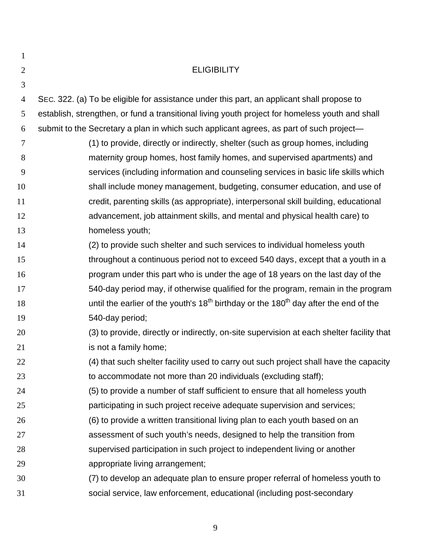| $\mathbf{1}$   |                                                                                                 |
|----------------|-------------------------------------------------------------------------------------------------|
| $\overline{2}$ | <b>ELIGIBILITY</b>                                                                              |
| 3              |                                                                                                 |
| $\overline{4}$ | SEC. 322. (a) To be eligible for assistance under this part, an applicant shall propose to      |
| 5              | establish, strengthen, or fund a transitional living youth project for homeless youth and shall |
| 6              | submit to the Secretary a plan in which such applicant agrees, as part of such project-         |
| $\tau$         | (1) to provide, directly or indirectly, shelter (such as group homes, including                 |
| 8              | maternity group homes, host family homes, and supervised apartments) and                        |
| 9              | services (including information and counseling services in basic life skills which              |
| 10             | shall include money management, budgeting, consumer education, and use of                       |
| 11             | credit, parenting skills (as appropriate), interpersonal skill building, educational            |
| 12             | advancement, job attainment skills, and mental and physical health care) to                     |
| 13             | homeless youth;                                                                                 |
| 14             | (2) to provide such shelter and such services to individual homeless youth                      |
| 15             | throughout a continuous period not to exceed 540 days, except that a youth in a                 |
| 16             | program under this part who is under the age of 18 years on the last day of the                 |
| 17             | 540-day period may, if otherwise qualified for the program, remain in the program               |
| 18             | until the earlier of the youth's $18th$ birthday or the $180th$ day after the end of the        |
| 19             | 540-day period;                                                                                 |
| 20             | (3) to provide, directly or indirectly, on-site supervision at each shelter facility that       |
| 21             | is not a family home;                                                                           |
| 22             | (4) that such shelter facility used to carry out such project shall have the capacity           |
| 23             | to accommodate not more than 20 individuals (excluding staff);                                  |
| 24             | (5) to provide a number of staff sufficient to ensure that all homeless youth                   |
| 25             | participating in such project receive adequate supervision and services;                        |
| 26             | (6) to provide a written transitional living plan to each youth based on an                     |
| 27             | assessment of such youth's needs, designed to help the transition from                          |
| 28             | supervised participation in such project to independent living or another                       |
| 29             | appropriate living arrangement;                                                                 |
| 30             | (7) to develop an adequate plan to ensure proper referral of homeless youth to                  |
| 31             | social service, law enforcement, educational (including post-secondary                          |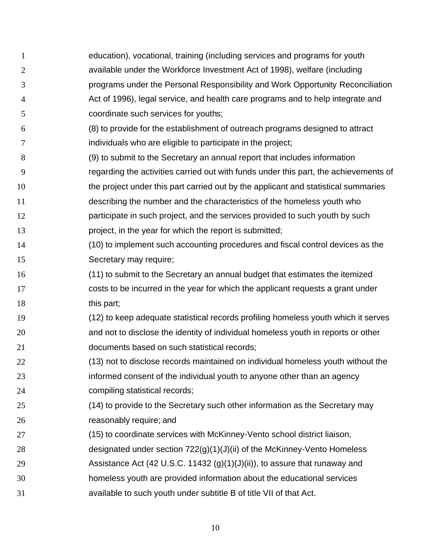1 2 3 4 5 6 7 8 9 10 11 12 13 14 15 16 17 18 19 20 21 22 23 24 25 26 27 28 29 30 31 education), vocational, training (including services and programs for youth available under the Workforce Investment Act of 1998), welfare (including programs under the Personal Responsibility and Work Opportunity Reconciliation Act of 1996), legal service, and health care programs and to help integrate and coordinate such services for youths; (8) to provide for the establishment of outreach programs designed to attract individuals who are eligible to participate in the project; (9) to submit to the Secretary an annual report that includes information regarding the activities carried out with funds under this part, the achievements of the project under this part carried out by the applicant and statistical summaries describing the number and the characteristics of the homeless youth who participate in such project, and the services provided to such youth by such project, in the year for which the report is submitted; (10) to implement such accounting procedures and fiscal control devices as the Secretary may require; (11) to submit to the Secretary an annual budget that estimates the itemized costs to be incurred in the year for which the applicant requests a grant under this part; (12) to keep adequate statistical records profiling homeless youth which it serves and not to disclose the identity of individual homeless youth in reports or other documents based on such statistical records; (13) not to disclose records maintained on individual homeless youth without the informed consent of the individual youth to anyone other than an agency compiling statistical records; (14) to provide to the Secretary such other information as the Secretary may reasonably require; and (15) to coordinate services with McKinney-Vento school district liaison, designated under section 722(g)(1)(J)(ii) of the McKinney-Vento Homeless Assistance Act (42 U.S.C. 11432 (g)(1)(J)(ii)), to assure that runaway and homeless youth are provided information about the educational services available to such youth under subtitle B of title VII of that Act.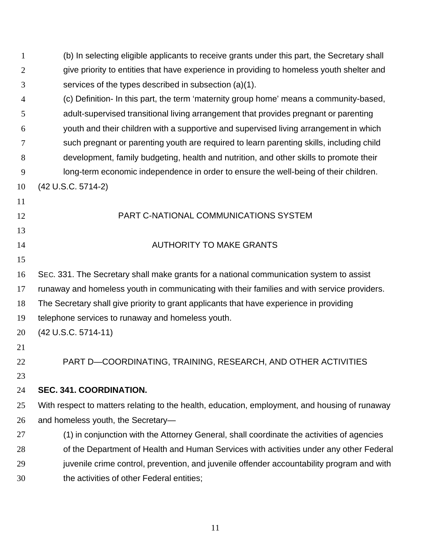| 1  | (b) In selecting eligible applicants to receive grants under this part, the Secretary shall   |
|----|-----------------------------------------------------------------------------------------------|
| 2  | give priority to entities that have experience in providing to homeless youth shelter and     |
| 3  | services of the types described in subsection (a)(1).                                         |
| 4  | (c) Definition- In this part, the term 'maternity group home' means a community-based,        |
| 5  | adult-supervised transitional living arrangement that provides pregnant or parenting          |
| 6  | youth and their children with a supportive and supervised living arrangement in which         |
| 7  | such pregnant or parenting youth are required to learn parenting skills, including child      |
| 8  | development, family budgeting, health and nutrition, and other skills to promote their        |
| 9  | long-term economic independence in order to ensure the well-being of their children.          |
| 10 | (42 U.S.C. 5714-2)                                                                            |
| 11 |                                                                                               |
| 12 | PART C-NATIONAL COMMUNICATIONS SYSTEM                                                         |
| 13 |                                                                                               |
| 14 | <b>AUTHORITY TO MAKE GRANTS</b>                                                               |
| 15 |                                                                                               |
| 16 | SEC. 331. The Secretary shall make grants for a national communication system to assist       |
| 17 | runaway and homeless youth in communicating with their families and with service providers.   |
| 18 | The Secretary shall give priority to grant applicants that have experience in providing       |
| 19 | telephone services to runaway and homeless youth.                                             |
| 20 | $(42 U.S.C. 5714-11)$                                                                         |
| 21 |                                                                                               |
| 22 | PART D-COORDINATING, TRAINING, RESEARCH, AND OTHER ACTIVITIES                                 |
| 23 |                                                                                               |
| 24 | SEC. 341. COORDINATION.                                                                       |
| 25 | With respect to matters relating to the health, education, employment, and housing of runaway |
| 26 | and homeless youth, the Secretary-                                                            |
| 27 | (1) in conjunction with the Attorney General, shall coordinate the activities of agencies     |
| 28 | of the Department of Health and Human Services with activities under any other Federal        |
| 29 | juvenile crime control, prevention, and juvenile offender accountability program and with     |
| 30 | the activities of other Federal entities;                                                     |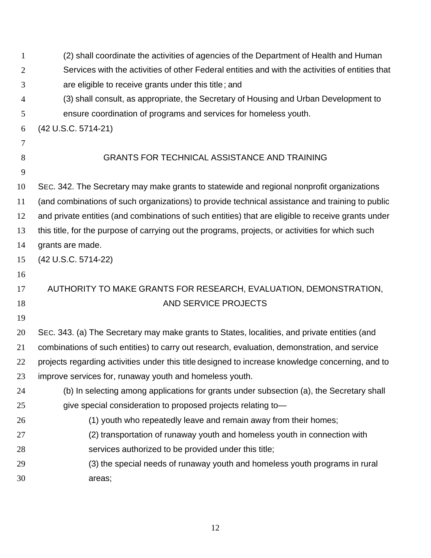| $\mathbf{1}$   | (2) shall coordinate the activities of agencies of the Department of Health and Human              |
|----------------|----------------------------------------------------------------------------------------------------|
| 2              | Services with the activities of other Federal entities and with the activities of entities that    |
| 3              | are eligible to receive grants under this title; and                                               |
| $\overline{4}$ | (3) shall consult, as appropriate, the Secretary of Housing and Urban Development to               |
| 5              | ensure coordination of programs and services for homeless youth.                                   |
| 6              | (42 U.S.C. 5714-21)                                                                                |
| 7              |                                                                                                    |
| 8              | <b>GRANTS FOR TECHNICAL ASSISTANCE AND TRAINING</b>                                                |
| 9              |                                                                                                    |
| 10             | SEC. 342. The Secretary may make grants to statewide and regional nonprofit organizations          |
| 11             | (and combinations of such organizations) to provide technical assistance and training to public    |
| 12             | and private entities (and combinations of such entities) that are eligible to receive grants under |
| 13             | this title, for the purpose of carrying out the programs, projects, or activities for which such   |
| 14             | grants are made.                                                                                   |
| 15             | (42 U.S.C. 5714-22)                                                                                |
| 16             |                                                                                                    |
| 17             | AUTHORITY TO MAKE GRANTS FOR RESEARCH, EVALUATION, DEMONSTRATION,                                  |
| 18             | AND SERVICE PROJECTS                                                                               |
| 19             |                                                                                                    |
| 20             | SEC. 343. (a) The Secretary may make grants to States, localities, and private entities (and       |
| 21             | combinations of such entities) to carry out research, evaluation, demonstration, and service       |
| 22             | projects regarding activities under this title designed to increase knowledge concerning, and to   |
| 23             | improve services for, runaway youth and homeless youth.                                            |
| 24             | (b) In selecting among applications for grants under subsection (a), the Secretary shall           |
| 25             | give special consideration to proposed projects relating to-                                       |
| 26             | (1) youth who repeatedly leave and remain away from their homes;                                   |
| 27             | (2) transportation of runaway youth and homeless youth in connection with                          |
| 28             | services authorized to be provided under this title;                                               |
| 29             | (3) the special needs of runaway youth and homeless youth programs in rural                        |
| 30             | areas;                                                                                             |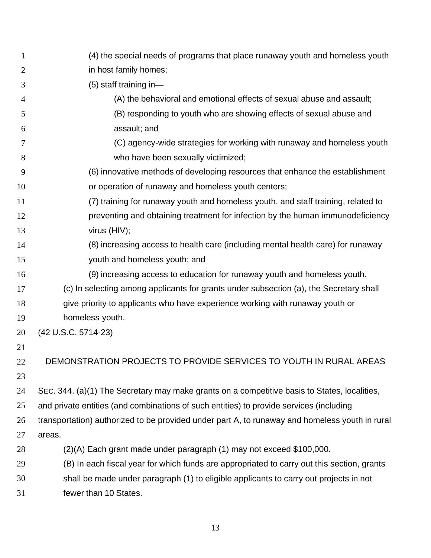| 1              | (4) the special needs of programs that place runaway youth and homeless youth                  |
|----------------|------------------------------------------------------------------------------------------------|
| $\overline{2}$ | in host family homes;                                                                          |
| 3              | $(5)$ staff training in-                                                                       |
| $\overline{4}$ | (A) the behavioral and emotional effects of sexual abuse and assault;                          |
| 5              | (B) responding to youth who are showing effects of sexual abuse and                            |
| 6              | assault; and                                                                                   |
| 7              | (C) agency-wide strategies for working with runaway and homeless youth                         |
| 8              | who have been sexually victimized;                                                             |
| 9              | (6) innovative methods of developing resources that enhance the establishment                  |
| 10             | or operation of runaway and homeless youth centers;                                            |
| 11             | (7) training for runaway youth and homeless youth, and staff training, related to              |
| 12             | preventing and obtaining treatment for infection by the human immunodeficiency                 |
| 13             | virus (HIV);                                                                                   |
| 14             | (8) increasing access to health care (including mental health care) for runaway                |
| 15             | youth and homeless youth; and                                                                  |
| 16             | (9) increasing access to education for runaway youth and homeless youth.                       |
| 17             | (c) In selecting among applicants for grants under subsection (a), the Secretary shall         |
| 18             | give priority to applicants who have experience working with runaway youth or                  |
| 19             | homeless youth.                                                                                |
| 20             | (42 U.S.C. 5714-23)                                                                            |
| 21             |                                                                                                |
| 22             | DEMONSTRATION PROJECTS TO PROVIDE SERVICES TO YOUTH IN RURAL AREAS                             |
| 23             |                                                                                                |
| 24             | SEC. 344. (a)(1) The Secretary may make grants on a competitive basis to States, localities,   |
| 25             | and private entities (and combinations of such entities) to provide services (including        |
| 26             | transportation) authorized to be provided under part A, to runaway and homeless youth in rural |
| 27             | areas.                                                                                         |
| 28             | (2)(A) Each grant made under paragraph (1) may not exceed \$100,000.                           |
| 29             | (B) In each fiscal year for which funds are appropriated to carry out this section, grants     |
| 30             | shall be made under paragraph (1) to eligible applicants to carry out projects in not          |
| 31             | fewer than 10 States.                                                                          |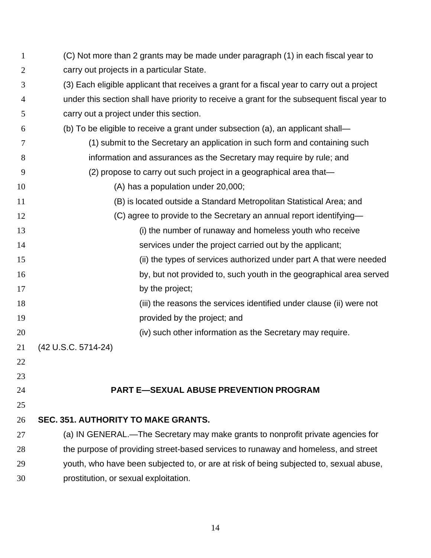| $\mathbf{1}$   | (C) Not more than 2 grants may be made under paragraph (1) in each fiscal year to           |
|----------------|---------------------------------------------------------------------------------------------|
| $\overline{2}$ | carry out projects in a particular State.                                                   |
| 3              | (3) Each eligible applicant that receives a grant for a fiscal year to carry out a project  |
| $\overline{4}$ | under this section shall have priority to receive a grant for the subsequent fiscal year to |
| 5              | carry out a project under this section.                                                     |
| 6              | (b) To be eligible to receive a grant under subsection (a), an applicant shall—             |
| 7              | (1) submit to the Secretary an application in such form and containing such                 |
| 8              | information and assurances as the Secretary may require by rule; and                        |
| 9              | (2) propose to carry out such project in a geographical area that-                          |
| 10             | (A) has a population under 20,000;                                                          |
| 11             | (B) is located outside a Standard Metropolitan Statistical Area; and                        |
| 12             | (C) agree to provide to the Secretary an annual report identifying—                         |
| 13             | (i) the number of runaway and homeless youth who receive                                    |
| 14             | services under the project carried out by the applicant;                                    |
| 15             | (ii) the types of services authorized under part A that were needed                         |
| 16             | by, but not provided to, such youth in the geographical area served                         |
| 17             | by the project;                                                                             |
| 18             | (iii) the reasons the services identified under clause (ii) were not                        |
| 19             | provided by the project; and                                                                |
| 20             | (iv) such other information as the Secretary may require.                                   |
| 21             | (42 U.S.C. 5714-24)                                                                         |
| 22             |                                                                                             |
| 23             |                                                                                             |
| 24             | <b>PART E-SEXUAL ABUSE PREVENTION PROGRAM</b>                                               |
| 25             |                                                                                             |
| 26             | <b>SEC. 351. AUTHORITY TO MAKE GRANTS.</b>                                                  |
| 27             | (a) IN GENERAL.-The Secretary may make grants to nonprofit private agencies for             |
| 28             | the purpose of providing street-based services to runaway and homeless, and street          |
| 29             | youth, who have been subjected to, or are at risk of being subjected to, sexual abuse,      |
| 30             | prostitution, or sexual exploitation.                                                       |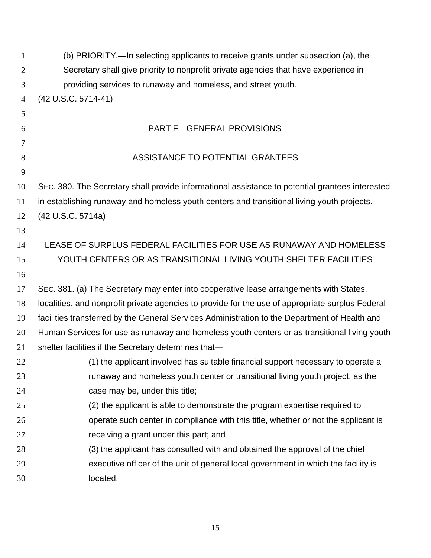| $\mathbf{1}$   | (b) PRIORITY.—In selecting applicants to receive grants under subsection (a), the                |
|----------------|--------------------------------------------------------------------------------------------------|
| 2              | Secretary shall give priority to nonprofit private agencies that have experience in              |
| 3              | providing services to runaway and homeless, and street youth.                                    |
| $\overline{4}$ | (42 U.S.C. 5714-41)                                                                              |
| 5              |                                                                                                  |
| 6              | <b>PART F-GENERAL PROVISIONS</b>                                                                 |
| 7              |                                                                                                  |
| 8              | ASSISTANCE TO POTENTIAL GRANTEES                                                                 |
| 9              |                                                                                                  |
| 10             | SEC. 380. The Secretary shall provide informational assistance to potential grantees interested  |
| 11             | in establishing runaway and homeless youth centers and transitional living youth projects.       |
| 12             | (42 U.S.C. 5714a)                                                                                |
| 13             |                                                                                                  |
| 14             | LEASE OF SURPLUS FEDERAL FACILITIES FOR USE AS RUNAWAY AND HOMELESS                              |
| 15             | YOUTH CENTERS OR AS TRANSITIONAL LIVING YOUTH SHELTER FACILITIES                                 |
| 16             |                                                                                                  |
| 17             | SEC. 381. (a) The Secretary may enter into cooperative lease arrangements with States,           |
| 18             | localities, and nonprofit private agencies to provide for the use of appropriate surplus Federal |
| 19             | facilities transferred by the General Services Administration to the Department of Health and    |
| 20             | Human Services for use as runaway and homeless youth centers or as transitional living youth     |
| 21             | shelter facilities if the Secretary determines that-                                             |
| 22             | (1) the applicant involved has suitable financial support necessary to operate a                 |
| 23             | runaway and homeless youth center or transitional living youth project, as the                   |
| 24             | case may be, under this title;                                                                   |
| 25             | (2) the applicant is able to demonstrate the program expertise required to                       |
| 26             | operate such center in compliance with this title, whether or not the applicant is               |
| 27             | receiving a grant under this part; and                                                           |
| 28             | (3) the applicant has consulted with and obtained the approval of the chief                      |
| 29             | executive officer of the unit of general local government in which the facility is               |
| 30             | located.                                                                                         |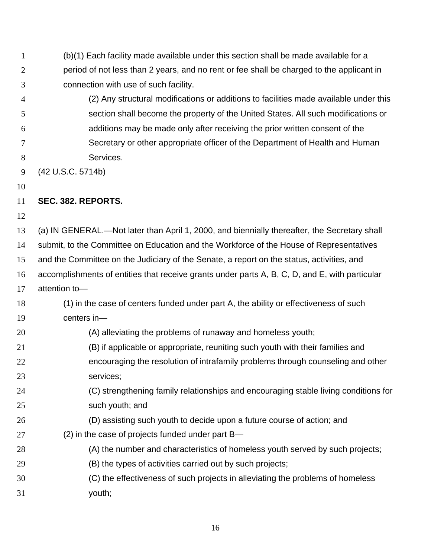- 1 2 3 (b)(1) Each facility made available under this section shall be made available for a period of not less than 2 years, and no rent or fee shall be charged to the applicant in connection with use of such facility.
- 4 5 6 7 8 (2) Any structural modifications or additions to facilities made available under this section shall become the property of the United States. All such modifications or additions may be made only after receiving the prior written consent of the Secretary or other appropriate officer of the Department of Health and Human Services.
- 9 (42 U.S.C. 5714b)
- 10

## 11 **SEC. 382. REPORTS.**

12

13 14 (a) IN GENERAL.—Not later than April 1, 2000, and biennially thereafter, the Secretary shall submit, to the Committee on Education and the Workforce of the House of Representatives

15 and the Committee on the Judiciary of the Senate, a report on the status, activities, and

16 accomplishments of entities that receive grants under parts A, B, C, D, and E, with particular

- 17 attention to—
- 18 19 (1) in the case of centers funded under part A, the ability or effectiveness of such centers in—
- 20 (A) alleviating the problems of runaway and homeless youth;
- 21 (B) if applicable or appropriate, reuniting such youth with their families and
- 22 23 encouraging the resolution of intrafamily problems through counseling and other services;
- 24 25 (C) strengthening family relationships and encouraging stable living conditions for such youth; and
- 26 (D) assisting such youth to decide upon a future course of action; and
- 27 (2) in the case of projects funded under part B—
- 28 (A) the number and characteristics of homeless youth served by such projects;
- 29 (B) the types of activities carried out by such projects;
- 30 31 (C) the effectiveness of such projects in alleviating the problems of homeless youth;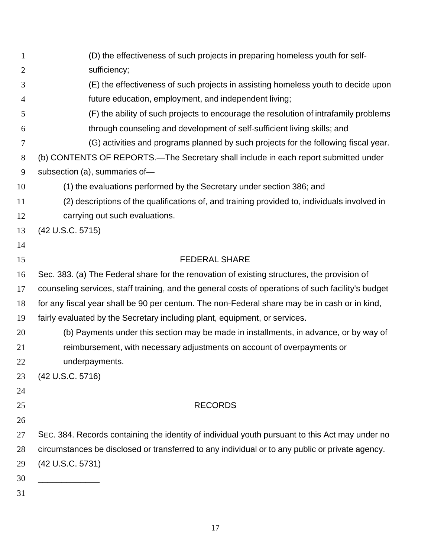| 1                   | (D) the effectiveness of such projects in preparing homeless youth for self-                                                               |
|---------------------|--------------------------------------------------------------------------------------------------------------------------------------------|
| 2                   | sufficiency;                                                                                                                               |
| 3<br>$\overline{4}$ | (E) the effectiveness of such projects in assisting homeless youth to decide upon<br>future education, employment, and independent living; |
| 5                   | (F) the ability of such projects to encourage the resolution of intrafamily problems                                                       |
| 6                   | through counseling and development of self-sufficient living skills; and                                                                   |
| $\tau$              | (G) activities and programs planned by such projects for the following fiscal year.                                                        |
| 8                   | (b) CONTENTS OF REPORTS.—The Secretary shall include in each report submitted under                                                        |
| 9                   | subsection (a), summaries of-                                                                                                              |
| 10                  | (1) the evaluations performed by the Secretary under section 386; and                                                                      |
| 11                  |                                                                                                                                            |
|                     | (2) descriptions of the qualifications of, and training provided to, individuals involved in<br>carrying out such evaluations.             |
| 12                  |                                                                                                                                            |
| 13<br>14            | (42 U.S.C. 5715)                                                                                                                           |
|                     | <b>FEDERAL SHARE</b>                                                                                                                       |
| 15                  |                                                                                                                                            |
| 16                  | Sec. 383. (a) The Federal share for the renovation of existing structures, the provision of                                                |
| 17                  | counseling services, staff training, and the general costs of operations of such facility's budget                                         |
| 18                  | for any fiscal year shall be 90 per centum. The non-Federal share may be in cash or in kind,                                               |
| 19                  | fairly evaluated by the Secretary including plant, equipment, or services.                                                                 |
| 20                  | (b) Payments under this section may be made in installments, in advance, or by way of                                                      |
| 21                  | reimbursement, with necessary adjustments on account of overpayments or                                                                    |
| 22                  | underpayments.                                                                                                                             |
| 23                  | (42 U.S.C. 5716)                                                                                                                           |
| 24                  |                                                                                                                                            |
| 25                  | <b>RECORDS</b>                                                                                                                             |
| 26                  |                                                                                                                                            |
| 27                  | SEC. 384. Records containing the identity of individual youth pursuant to this Act may under no                                            |
| 28                  | circumstances be disclosed or transferred to any individual or to any public or private agency.                                            |
| 29                  | (42 U.S.C. 5731)                                                                                                                           |
| 30                  |                                                                                                                                            |
| 31                  |                                                                                                                                            |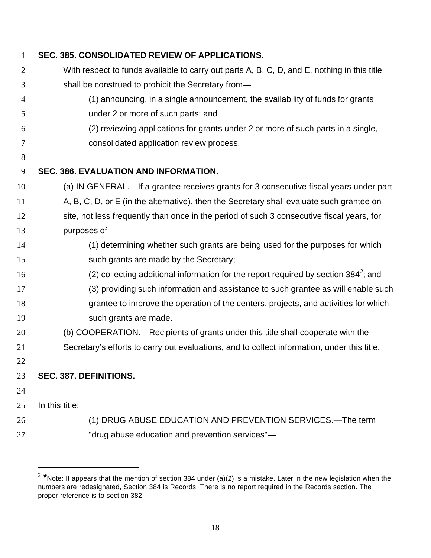| $\mathbf{1}$ | SEC. 385. CONSOLIDATED REVIEW OF APPLICATIONS.                                              |
|--------------|---------------------------------------------------------------------------------------------|
| 2            | With respect to funds available to carry out parts A, B, C, D, and E, nothing in this title |
| 3            | shall be construed to prohibit the Secretary from-                                          |
| 4            | (1) announcing, in a single announcement, the availability of funds for grants              |
| 5            | under 2 or more of such parts; and                                                          |
| 6            | (2) reviewing applications for grants under 2 or more of such parts in a single,            |
| 7            | consolidated application review process.                                                    |
| 8            |                                                                                             |
| 9            | SEC. 386. EVALUATION AND INFORMATION.                                                       |
| 10           | (a) IN GENERAL.—If a grantee receives grants for 3 consecutive fiscal years under part      |
| 11           | A, B, C, D, or E (in the alternative), then the Secretary shall evaluate such grantee on-   |
| 12           | site, not less frequently than once in the period of such 3 consecutive fiscal years, for   |
| 13           | purposes of-                                                                                |
| 14           | (1) determining whether such grants are being used for the purposes for which               |
| 15           | such grants are made by the Secretary;                                                      |
| 16           | (2) collecting additional information for the report required by section $384^2$ ; and      |
| 17           | (3) providing such information and assistance to such grantee as will enable such           |
| 18           | grantee to improve the operation of the centers, projects, and activities for which         |
| 19           | such grants are made.                                                                       |
| 20           | (b) COOPERATION.—Recipients of grants under this title shall cooperate with the             |
| 21           | Secretary's efforts to carry out evaluations, and to collect information, under this title. |
| 22           |                                                                                             |
| 23           | SEC. 387. DEFINITIONS.                                                                      |
| 24           |                                                                                             |
| 25           | In this title:                                                                              |
| 26           | (1) DRUG ABUSE EDUCATION AND PREVENTION SERVICES.—The term                                  |
| 27           | "drug abuse education and prevention services"-                                             |

 $\overline{a}$ 

**\***Note: It appears that the mention of section 384 under (a)(2) is a mistake. Later in the new legislation when the numbers are redesignated, Section 384 is Records. There is no report required in the Records section. The proper reference is to section 382.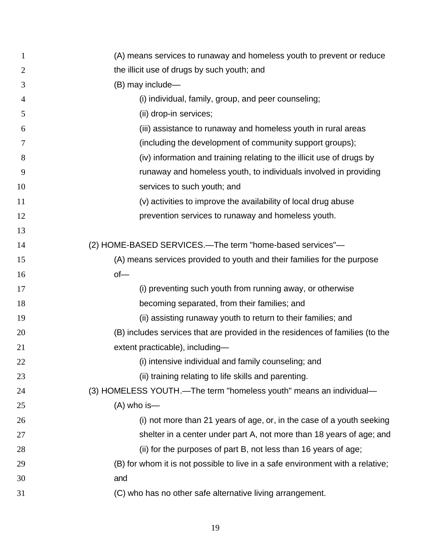| 1              | (A) means services to runaway and homeless youth to prevent or reduce          |
|----------------|--------------------------------------------------------------------------------|
| $\overline{2}$ | the illicit use of drugs by such youth; and                                    |
| 3              | (B) may include-                                                               |
| $\overline{4}$ | (i) individual, family, group, and peer counseling;                            |
| 5              | (ii) drop-in services;                                                         |
| 6              | (iii) assistance to runaway and homeless youth in rural areas                  |
| 7              | (including the development of community support groups);                       |
| 8              | (iv) information and training relating to the illicit use of drugs by          |
| 9              | runaway and homeless youth, to individuals involved in providing               |
| 10             | services to such youth; and                                                    |
| 11             | (v) activities to improve the availability of local drug abuse                 |
| 12             | prevention services to runaway and homeless youth.                             |
| 13             |                                                                                |
| 14             | (2) HOME-BASED SERVICES.-The term "home-based services"-                       |
| 15             | (A) means services provided to youth and their families for the purpose        |
| 16             | $of$ —                                                                         |
| 17             | (i) preventing such youth from running away, or otherwise                      |
| 18             | becoming separated, from their families; and                                   |
| 19             | (ii) assisting runaway youth to return to their families; and                  |
| 20             | (B) includes services that are provided in the residences of families (to the  |
| 21             | extent practicable), including-                                                |
| 22             | (i) intensive individual and family counseling; and                            |
| 23             | (ii) training relating to life skills and parenting.                           |
| 24             | (3) HOMELESS YOUTH.—The term "homeless youth" means an individual—             |
| 25             | $(A)$ who is —                                                                 |
| 26             | (i) not more than 21 years of age, or, in the case of a youth seeking          |
| 27             | shelter in a center under part A, not more than 18 years of age; and           |
| 28             | (ii) for the purposes of part B, not less than 16 years of age;                |
| 29             | (B) for whom it is not possible to live in a safe environment with a relative; |
| 30             | and                                                                            |
| 31             | (C) who has no other safe alternative living arrangement.                      |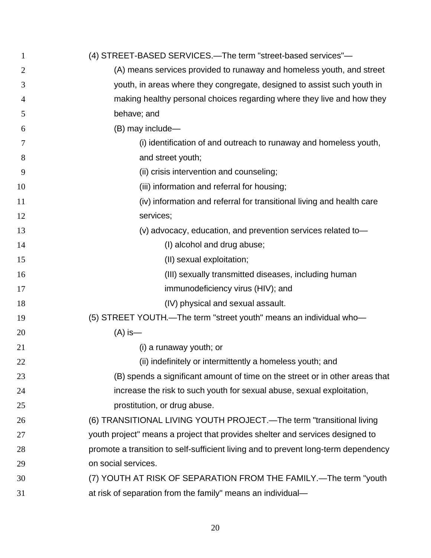| $\mathbf{1}$ | (4) STREET-BASED SERVICES.—The term "street-based services"—                       |
|--------------|------------------------------------------------------------------------------------|
| 2            | (A) means services provided to runaway and homeless youth, and street              |
| 3            | youth, in areas where they congregate, designed to assist such youth in            |
| 4            | making healthy personal choices regarding where they live and how they             |
| 5            | behave; and                                                                        |
| 6            | (B) may include-                                                                   |
| 7            | (i) identification of and outreach to runaway and homeless youth,                  |
| 8            | and street youth;                                                                  |
| 9            | (ii) crisis intervention and counseling;                                           |
| 10           | (iii) information and referral for housing;                                        |
| 11           | (iv) information and referral for transitional living and health care              |
| 12           | services;                                                                          |
| 13           | (v) advocacy, education, and prevention services related to-                       |
| 14           | (I) alcohol and drug abuse;                                                        |
| 15           | (II) sexual exploitation;                                                          |
| 16           | (III) sexually transmitted diseases, including human                               |
| 17           | immunodeficiency virus (HIV); and                                                  |
| 18           | (IV) physical and sexual assault.                                                  |
| 19           | (5) STREET YOUTH.-The term "street youth" means an individual who-                 |
| 20           | $(A)$ is —                                                                         |
| 21           | (i) a runaway youth; or                                                            |
| 22           | (ii) indefinitely or intermittently a homeless youth; and                          |
| 23           | (B) spends a significant amount of time on the street or in other areas that       |
| 24           | increase the risk to such youth for sexual abuse, sexual exploitation,             |
| 25           | prostitution, or drug abuse.                                                       |
| 26           | (6) TRANSITIONAL LIVING YOUTH PROJECT.—The term "transitional living               |
| 27           | youth project" means a project that provides shelter and services designed to      |
| 28           | promote a transition to self-sufficient living and to prevent long-term dependency |
| 29           | on social services.                                                                |
| 30           | (7) YOUTH AT RISK OF SEPARATION FROM THE FAMILY.—The term "youth                   |
| 31           | at risk of separation from the family" means an individual-                        |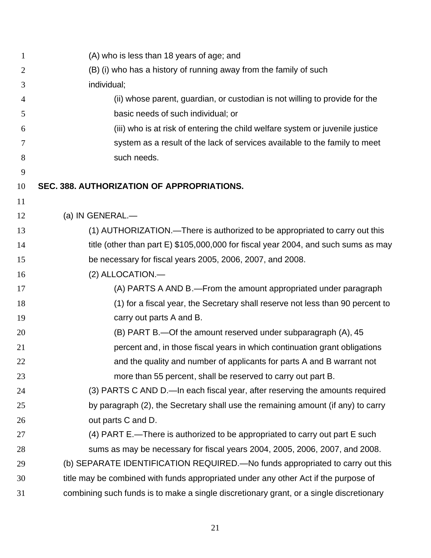| $\mathbf{1}$   | (A) who is less than 18 years of age; and                                               |
|----------------|-----------------------------------------------------------------------------------------|
| $\overline{2}$ | (B) (i) who has a history of running away from the family of such                       |
| 3              | individual;                                                                             |
| 4              | (ii) whose parent, guardian, or custodian is not willing to provide for the             |
| 5              | basic needs of such individual; or                                                      |
| 6              | (iii) who is at risk of entering the child welfare system or juvenile justice           |
| 7              | system as a result of the lack of services available to the family to meet              |
| 8              | such needs.                                                                             |
| 9              |                                                                                         |
| 10             | SEC. 388. AUTHORIZATION OF APPROPRIATIONS.                                              |
| 11             |                                                                                         |
| 12             | (a) IN GENERAL.-                                                                        |
| 13             | (1) AUTHORIZATION.—There is authorized to be appropriated to carry out this             |
| 14             | title (other than part E) \$105,000,000 for fiscal year 2004, and such sums as may      |
| 15             | be necessary for fiscal years 2005, 2006, 2007, and 2008.                               |
| 16             | (2) ALLOCATION.-                                                                        |
| 17             | (A) PARTS A AND B.-From the amount appropriated under paragraph                         |
| 18             | (1) for a fiscal year, the Secretary shall reserve not less than 90 percent to          |
| 19             | carry out parts A and B.                                                                |
| 20             | (B) PART B.—Of the amount reserved under subparagraph (A), 45                           |
| 21             | percent and, in those fiscal years in which continuation grant obligations              |
| 22             | and the quality and number of applicants for parts A and B warrant not                  |
| 23             | more than 55 percent, shall be reserved to carry out part B.                            |
| 24             | (3) PARTS C AND D.-In each fiscal year, after reserving the amounts required            |
| 25             | by paragraph (2), the Secretary shall use the remaining amount (if any) to carry        |
| 26             | out parts C and D.                                                                      |
| 27             | (4) PART E.-There is authorized to be appropriated to carry out part E such             |
| 28             | sums as may be necessary for fiscal years 2004, 2005, 2006, 2007, and 2008.             |
| 29             | (b) SEPARATE IDENTIFICATION REQUIRED.—No funds appropriated to carry out this           |
| 30             | title may be combined with funds appropriated under any other Act if the purpose of     |
| 31             | combining such funds is to make a single discretionary grant, or a single discretionary |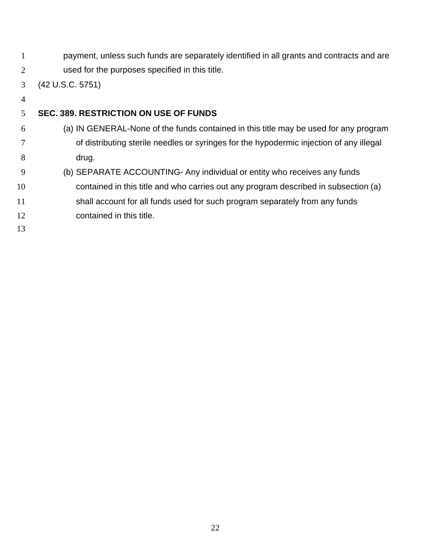1 2 payment, unless such funds are separately identified in all grants and contracts and are used for the purposes specified in this title.

3 (42 U.S.C. 5751)

4

## 5 **SEC. 389. RESTRICTION ON USE OF FUNDS**

- 6 7 8 (a) IN GENERAL-None of the funds contained in this title may be used for any program of distributing sterile needles or syringes for the hypodermic injection of any illegal drug.
- 9 (b) SEPARATE ACCOUNTING- Any individual or entity who receives any funds
- 10 11 contained in this title and who carries out any program described in subsection (a) shall account for all funds used for such program separately from any funds
- 12 contained in this title.
- 13